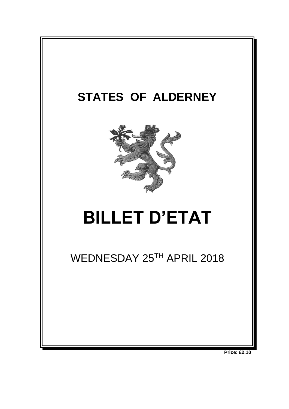

**Price: £2.10**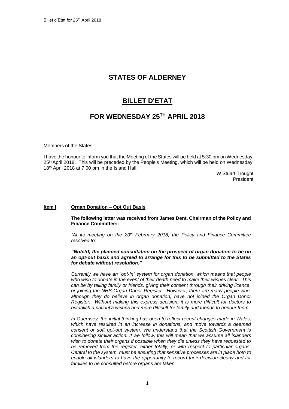# **STATES OF ALDERNEY**

## **BILLET D'ETAT**

## **FOR WEDNESDAY 25TH APRIL 2018**

Members of the States:

I have the honour to inform you that the Meeting of the States will be held at 5:30 pm on Wednesday 25<sup>th</sup> April 2018. This will be preceded by the People's Meeting, which will be held on Wednesday 18<sup>th</sup> April 2018 at 7:00 pm in the Island Hall.

W Stuart Trought President

#### **Item l Organ Donation – Opt Out Basis**

**The following letter was received from James Dent, Chairman of the Policy and Finance Committee:-**

*"At its meeting on the 20th February 2018, the Policy and Finance Committee resolved to:*

#### *"Note(d) the planned consultation on the prospect of organ donation to be on an opt-out basis and agreed to arrange for this to be submitted to the States for debate without resolution."*

*Currently we have an "opt-in" system for organ donation, which means that people who wish to donate in the event of their death need to make their wishes clear. This can be by telling family or friends, giving their consent through their driving licence, or joining the NHS Organ Donor Register. However, there are many people who, although they do believe in organ donation, have not joined the Organ Donor Register. Without making this express decision, it is more difficult for doctors to establish a patient's wishes and more difficult for family and friends to honour them.*

*In Guernsey, the initial thinking has been to reflect recent changes made in Wales, which have resulted in an increase in donations, and move towards a deemed consent or soft opt-out system. We understand that the Scottish Government is considering similar action. If we follow, this will mean that we assume all islanders wish to donate their organs if possible when they die unless they have requested to be removed from the register, either totally, or with respect to particular organs. Central to the system, must be ensuring that sensitive processes are in place both to enable all islanders to have the opportunity to record their decision clearly and for families to be consulted before organs are taken.*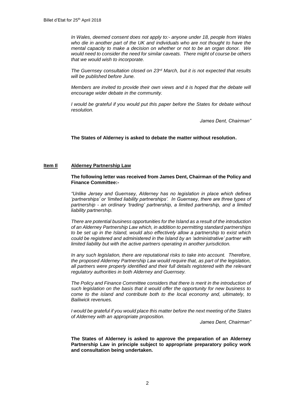*In Wales, deemed consent does not apply to:- anyone under 18, people from Wales who die in another part of the UK and individuals who are not thought to have the mental capacity to make a decision on whether or not to be an organ donor. We would need to consider the need for similar caveats. There might of course be others that we would wish to incorporate.*

*The Guernsey consultation closed on 23rd March, but it is not expected that results will be published before June.* 

*Members are invited to provide their own views and it is hoped that the debate will encourage wider debate in the community.*

*I* would be grateful if you would put this paper before the States for debate without *resolution.*

*James Dent, Chairman"*

**The States of Alderney is asked to debate the matter without resolution.**

#### **Item Il Alderney Partnership Law**

**The following letter was received from James Dent, Chairman of the Policy and Finance Committee:-**

*"Unlike Jersey and Guernsey, Alderney has no legislation in place which defines 'partnerships' or 'limited liability partnerships'. In Guernsey, there are three types of partnership - an ordinary 'trading' partnership, a limited partnership, and a limited liability partnership.*

*There are potential business opportunities for the Island as a result of the introduction of an Alderney Partnership Law which, in addition to permitting standard partnerships to be set up in the Island, would also effectively allow a partnership to exist which could be registered and administered in the Island by an 'administrative' partner with limited liability but with the active partners operating in another jurisdiction.* 

*In any such legislation, there are reputational risks to take into account. Therefore, the proposed Alderney Partnership Law would require that, as part of the legislation, all partners were properly identified and their full details registered with the relevant regulatory authorities in both Alderney and Guernsey.* 

*The Policy and Finance Committee considers that there is merit in the introduction of such legislation on the basis that it would offer the opportunity for new business to come to the island and contribute both to the local economy and, ultimately, to Bailiwick revenues.*

*I would be grateful if you would place this matter before the next meeting of the States of Alderney with an appropriate proposition.* 

*James Dent, Chairman"*

**The States of Alderney is asked to approve the preparation of an Alderney Partnership Law in principle subject to appropriate preparatory policy work and consultation being undertaken.**